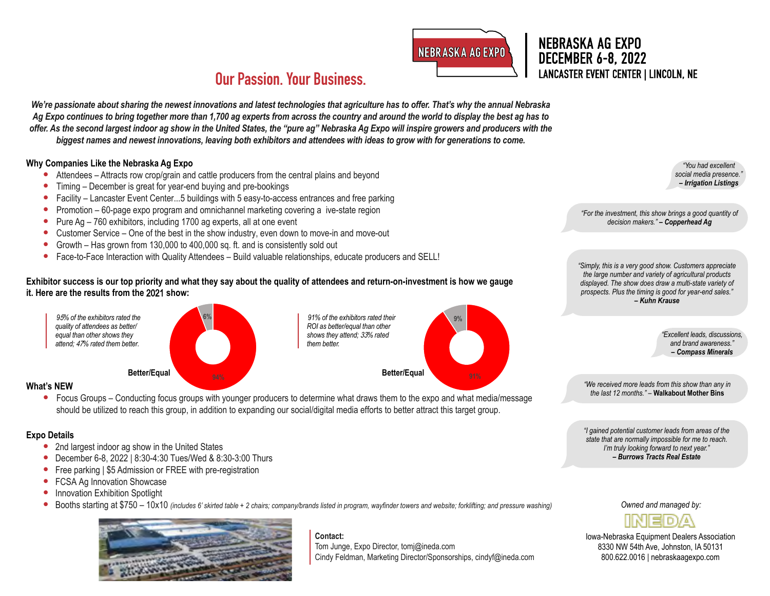

**9%**

## NEBRASKA AG EXPO DECEMBER 6-8, 2022 LANCASTER EVENT CENTER | LINCOLN, NE **Our Passion. Your Business.**

*We're passionate about sharing the newest innovations and latest technologies that agriculture has to offer. That's why the annual Nebraska Ag Expo continues to bring together more than 1,700 ag experts from across the country and around the world to display the best ag has to offer. As the second largest indoor ag show in the United States, the "pure ag" Nebraska Ag Expo will inspire growers and producers with the biggest names and newest innovations, leaving both exhibitors and attendees with ideas to grow with for generations to come.* 

### **Why Companies Like the Nebraska Ag Expo**

- Attendees Attracts row crop/grain and cattle producers from the central plains and beyond
- Timing December is great for year-end buying and pre-bookings
- Facility Lancaster Event Center...5 buildings with 5 easy-to-access entrances and free parking
- Promotion 60-page expo program and omnichannel marketing covering a ive-state region
- Pure Ag 760 exhibitors, including 1700 ag experts, all at one event
- Customer Service One of the best in the show industry, even down to move-in and move-out
- Growth Has grown from 130,000 to 400,000 sq. ft. and is consistently sold out
- Face-to-Face Interaction with Quality Attendees Build valuable relationships, educate producers and SELL!

### **Exhibitor success is our top priority and what they say about the quality of attendees and return-on-investment is how we gauge it. Here are the results from the** 2021 **show:**



#### **What's NEW**

• Focus Groups – Conducting focus groups with younger producers to determine what draws them to the expo and what media/message should be utilized to reach this group, in addition to expanding our social/digital media efforts to better attract this target group.

*91% of the exhibitors rated their ROI as better/equal than other shows they attend;* 33*% rated* 

*them better.*

#### **Expo Details**

- 2nd largest indoor ag show in the United States
- December 6-8, 2022 | 8:30-4:30 Tues/Wed & 8:30-3:00 Thurs
- Free parking | \$5 Admission or FREE with pre-registration
- FCSA Ag Innovation Showcase
- Innovation Exhibition Spotlight
- Booths starting at \$750 10x10 *(includes 6' skirted table + 2 chairs; company/brands listed in program, wayfinder towers and website; forklifting; and pressure washing)*



**Contact:** Tom Junge, Expo Director, [tomj@ineda.com](mailto:tomj@ineda.com) Cindy Feldman, Marketing Director/Sponsorships, [cindyf@ineda.com](mailto:cindyf@ineda.com)

*"You had excellent*  social media presence. *– Irrigation Listings*

*"For the investment, this show brings a good quantity of decision makers." – Copperhead Ag*

*"Simply, this is a very good show. Customers appreciate the large number and variety of agricultural products displayed. The show does draw a multi-state variety of prospects. Plus the timing is good for year-end sales." – Kuhn Krause*

> *"Excellent leads, discussions, and brand awareness." – Compass Minerals*

*"We received more leads from this show than any in the last 12 months." –* **Walkabout Mother Bins**

*"I gained potential customer leads from areas of the state that are normally impossible for me to reach. I'm truly looking forward to next year." – Burrows Tracts Real Estate*

*Owned and managed by:*



Iowa-Nebraska Equipment Dealers Association 8330 NW 54th Ave, Johnston, IA 50131 800.622.0016 | [nebraskaagexpo.com](http://www.nebraskaagexpo.com)